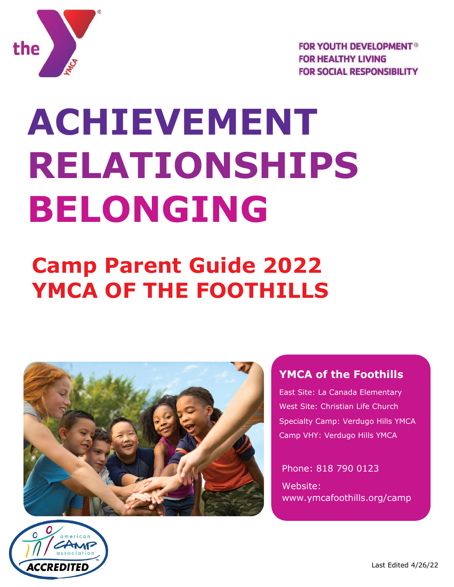

**FOR YOUTH DEVELOPMENT<sup>®</sup> FOR HEALTHY LIVING FOR SOCIAL RESPONSIBILITY** 

# **ACHIEVEMENT RELATIONSHIPS BELONGING**

## **Camp Parent Guide 2022 YMCA OF THE FOOTHILLS**



#### **YMCA of the Foothills**

East Site: La Canada Elementary West Site: Christian Life Church Specialty Camp: Verdugo Hills YMCA Camp VHY: Verdugo Hills YMCA

Phone: 818 790 0123 Website: [www.ymcafoothills.org/camp](http://www.ymcafoothills.org/camp)

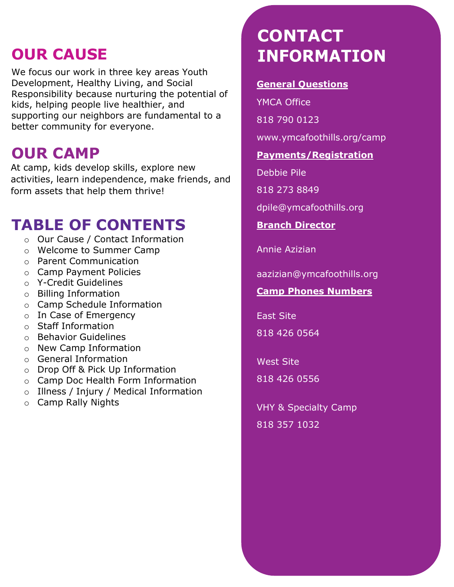#### **OUR CAUSE**

We focus our work in three key areas Youth Development, Healthy Living, and Social Responsibility because nurturing the potential of kids, helping people live healthier, and supporting our neighbors are fundamental to a better community for everyone.

#### **OUR CAMP**

At camp, kids develop skills, explore new activities, learn independence, make friends, and form assets that help them thrive!

#### **TABLE OF CONTENTS**

- o Our Cause / Contact Information
- o Welcome to Summer Camp
- o Parent Communication
- o Camp Payment Policies
- o Y-Credit Guidelines
- o Billing Information
- o Camp Schedule Information
- o In Case of Emergency
- o Staff Information
- o Behavior Guidelines
- o New Camp Information
- o General Information
- o Drop Off & Pick Up Information
- o Camp Doc Health Form Information
- o Illness / Injury / Medical Information
- o Camp Rally Nights

## **CONTACT INFORMATION**

#### **General Questions**

YMCA Office

818 790 0123

[www.ymcafoothills.org/camp](http://www.ymcafoothills.org/camp)

#### **Payments/Registration**

Debbie Pile

818 273 8849

[dpile@ymcafoothills.org](mailto:dpile@ymcafoothills.org)

**Branch Director**

Annie Azizian

[aazizian@ymcafoothills.org](mailto:hharris@ymcafoothills.org)

#### **Camp Phones Numbers**

East Site

818 426 0564

West Site 818 426 0556

VHY & Specialty Camp 818 357 1032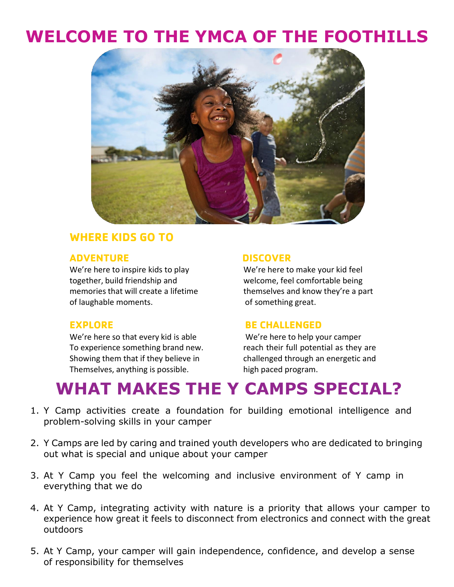#### **WELCOME TO THE YMCA OF THE FOOTHILLS**



#### **WHERE KIDS GO TO**

#### **ADVENTURE DISCOVER**

We're here to inspire kids to play We're here to make your kid feel together, build friendship and welcome, feel comfortable being memories that will create a lifetime themselves and know they're a part of laughable moments. The state of something great.

We're here so that every kid is able We're here to help your camper To experience something brand new. The reach their full potential as they are Showing them that if they believe in challenged through an energetic and Themselves, anything is possible. high paced program.

#### **EXPLORE BE CHALLENGED**

#### **WHAT MAKES THE Y CAMPS SPECIAL?**

- 1. Y Camp activities create a foundation for building emotional intelligence and problem-solving skills in your camper
- 2. Y Camps are led by caring and trained youth developers who are dedicated to bringing out what is special and unique about your camper
- 3. At Y Camp you feel the welcoming and inclusive environment of Y camp in everything that we do
- 4. At Y Camp, integrating activity with nature is a priority that allows your camper to experience how great it feels to disconnect from electronics and connect with the great outdoors
- 5. At Y Camp, your camper will gain independence, confidence, and develop a sense of responsibility for themselves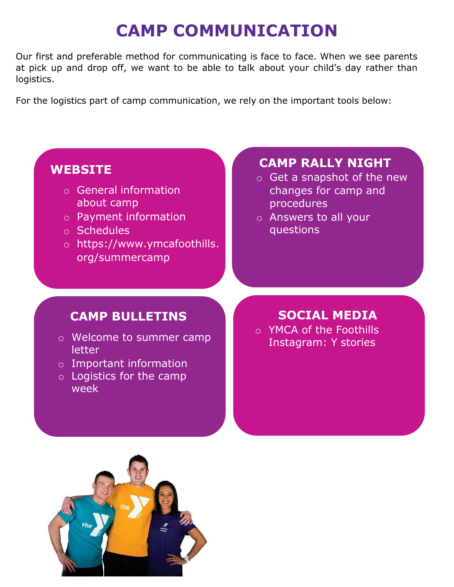## **CAMP COMMUNICATION**

Our first and preferable method for communicating is face to face. When we see parents at pick up and drop off, we want to be able to talk about your child's day rather than logistics.

For the logistics part of camp communication, we rely on the important tools below:

#### **WEBSITE**

- o General information about camp
- o Payment information
- o Schedules
- o https://www.ymcafoothills. org/summercamp

#### **CAMP RALLY NIGHT**

- o Get a snapshot of the new changes for camp and procedures
- o Answers to all your questions

#### **CAMP BULLETINS**

- o Welcome to summer camp letter
- o Important information
- o Logistics for the camp week

## **SOCIAL MEDIA**

o YMCA of the Foothills Instagram: Y stories

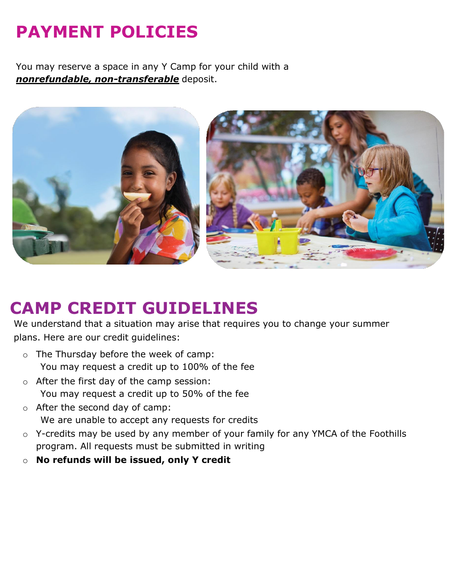## **PAYMENT POLICIES**

You may reserve a space in any Y Camp for your child with a *nonrefundable, non-transferable* deposit.



#### **CAMP CREDIT GUIDELINES**

We understand that a situation may arise that requires you to change your summer plans. Here are our credit guidelines:

- o The Thursday before the week of camp: You may request a credit up to 100% of the fee
- o After the first day of the camp session: You may request a credit up to 50% of the fee
- o After the second day of camp: We are unable to accept any requests for credits
- o Y-credits may be used by any member of your family for any YMCA of the Foothills program. All requests must be submitted in writing
- o **No refunds will be issued, only Y credit**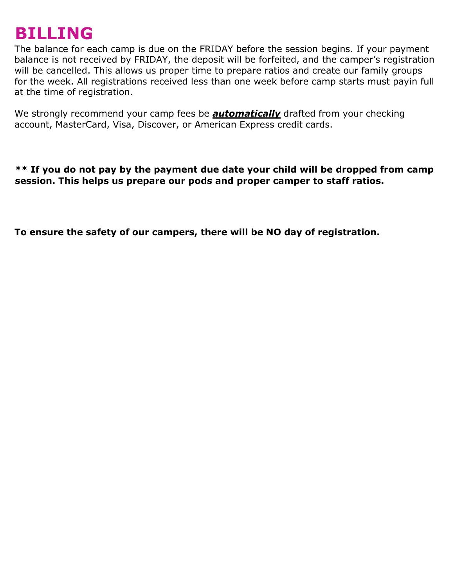#### **BILLING**

The balance for each camp is due on the FRIDAY before the session begins. If your payment balance is not received by FRIDAY, the deposit will be forfeited, and the camper's registration will be cancelled. This allows us proper time to prepare ratios and create our family groups for the week. All registrations received less than one week before camp starts must payin full at the time of registration.

We strongly recommend your camp fees be *automatically* drafted from your checking account, MasterCard, Visa, Discover, or American Express credit cards.

**\*\* If you do not pay by the payment due date your child will be dropped from camp session. This helps us prepare our pods and proper camper to staff ratios.**

**To ensure the safety of our campers, there will be NO day of registration.**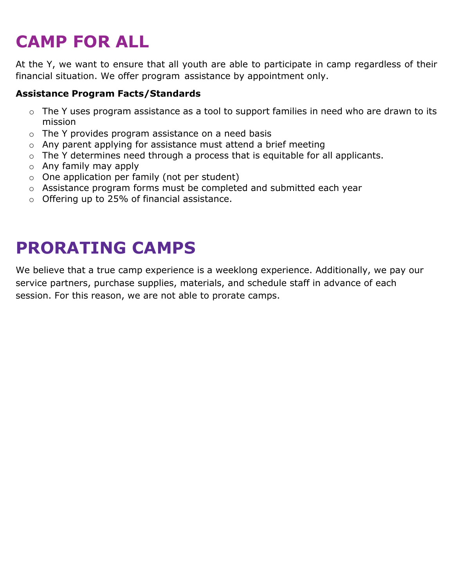## **CAMP FOR ALL**

At the Y, we want to ensure that all youth are able to participate in camp regardless of their financial situation. We offer program assistance by appointment only.

#### **Assistance Program Facts/Standards**

- o The Y uses program assistance as a tool to support families in need who are drawn to its mission
- o The Y provides program assistance on a need basis
- o Any parent applying for assistance must attend a brief meeting
- $\circ$  The Y determines need through a process that is equitable for all applicants.
- o Any family may apply
- o One application per family (not per student)
- o Assistance program forms must be completed and submitted each year
- o Offering up to 25% of financial assistance.

## **PRORATING CAMPS**

We believe that a true camp experience is a weeklong experience. Additionally, we pay our service partners, purchase supplies, materials, and schedule staff in advance of each session. For this reason, we are not able to prorate camps.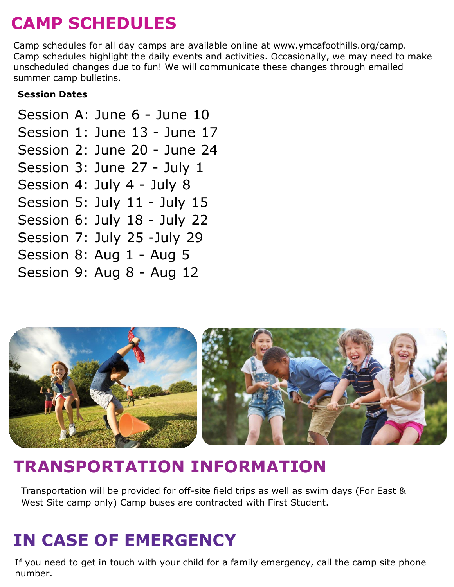## **CAMP SCHEDULES**

Camp schedules for all day camps are available online at [www.ymcafoothills.org/camp.](http://www.ymcafoothills.org/camp) Camp schedules highlight the daily events and activities. Occasionally, we may need to make unscheduled changes due to fun! We will communicate these changes through emailed summer camp bulletins.

#### **Session Dates**

Session A: June 6 - June 10 Session 1: June 13 - June 17 Session 2: June 20 - June 24 Session 3: June 27 - July 1 Session 4: July 4 - July 8 Session 5: July 11 - July 15 Session 6: July 18 - July 22 Session 7: July 25 -July 29 Session 8: Aug 1 - Aug 5 Session 9: Aug 8 - Aug 12



### **TRANSPORTATION INFORMATION**

Transportation will be provided for off-site field trips as well as swim days (For East & West Site camp only) Camp buses are contracted with First Student.

## **IN CASE OF EMERGENCY**

If you need to get in touch with your child for a family emergency, call the camp site phone number.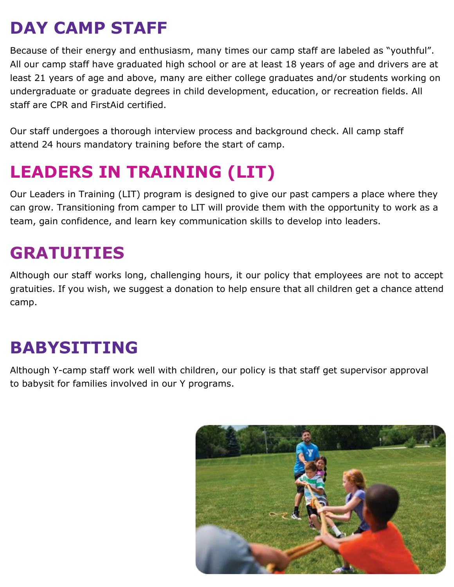## **DAY CAMP STAFF**

Because of their energy and enthusiasm, many times our camp staff are labeled as "youthful". All our camp staff have graduated high school or are at least 18 years of age and drivers are at least 21 years of age and above, many are either college graduates and/or students working on undergraduate or graduate degrees in child development, education, or recreation fields. All staff are CPR and FirstAid certified.

Our staff undergoes a thorough interview process and background check. All camp staff attend 24 hours mandatory training before the start of camp.

## **LEADERS IN TRAINING (LIT)**

Our Leaders in Training (LIT) program is designed to give our past campers a place where they can grow. Transitioning from camper to LIT will provide them with the opportunity to work as a team, gain confidence, and learn key communication skills to develop into leaders.

#### **GRATUITIES**

Although our staff works long, challenging hours, it our policy that employees are not to accept gratuities. If you wish, we suggest a donation to help ensure that all children get a chance attend camp.

### **BABYSITTING**

Although Y-camp staff work well with children, our policy is that staff get supervisor approval to babysit for families involved in our Y programs.

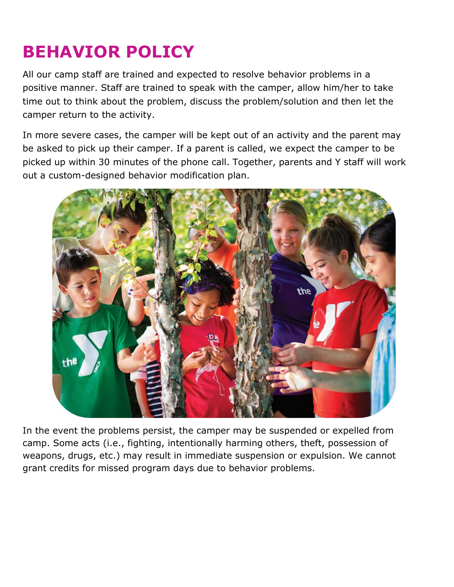## **BEHAVIOR POLICY**

All our camp staff are trained and expected to resolve behavior problems in a positive manner. Staff are trained to speak with the camper, allow him/her to take time out to think about the problem, discuss the problem/solution and then let the camper return to the activity.

In more severe cases, the camper will be kept out of an activity and the parent may be asked to pick up their camper. If a parent is called, we expect the camper to be picked up within 30 minutes of the phone call. Together, parents and Y staff will work out a custom-designed behavior modification plan.



In the event the problems persist, the camper may be suspended or expelled from camp. Some acts (i.e., fighting, intentionally harming others, theft, possession of weapons, drugs, etc.) may result in immediate suspension or expulsion. We cannot grant credits for missed program days due to behavior problems.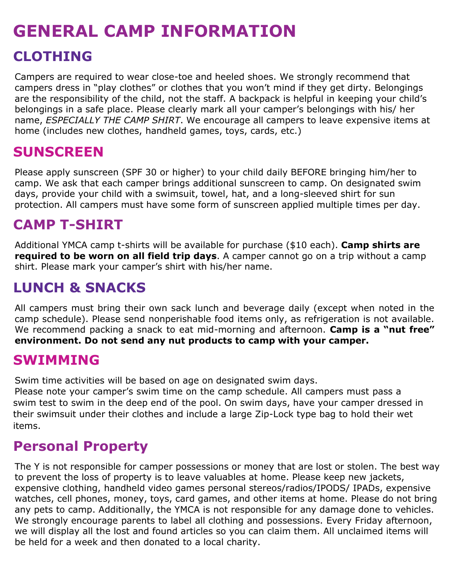## **GENERAL CAMP INFORMATION CLOTHING**

Campers are required to wear close-toe and heeled shoes. We strongly recommend that campers dress in "play clothes" or clothes that you won't mind if they get dirty. Belongings are the responsibility of the child, not the staff. A backpack is helpful in keeping your child's belongings in a safe place. Please clearly mark all your camper's belongings with his/ her name, *ESPECIALLY THE CAMP SHIRT*. We encourage all campers to leave expensive items at home (includes new clothes, handheld games, toys, cards, etc.)

#### **SUNSCREEN**

Please apply sunscreen (SPF 30 or higher) to your child daily BEFORE bringing him/her to camp. We ask that each camper brings additional sunscreen to camp. On designated swim days, provide your child with a swimsuit, towel, hat, and a long-sleeved shirt for sun protection. All campers must have some form of sunscreen applied multiple times per day.

#### **CAMP T-SHIRT**

Additional YMCA camp t-shirts will be available for purchase (\$10 each). **Camp shirts are required to be worn on all field trip days**. A camper cannot go on a trip without a camp shirt. Please mark your camper's shirt with his/her name.

#### **LUNCH & SNACKS**

All campers must bring their own sack lunch and beverage daily (except when noted in the camp schedule). Please send nonperishable food items only, as refrigeration is not available. We recommend packing a snack to eat mid-morning and afternoon. **Camp is a "nut free" environment. Do not send any nut products to camp with your camper.**

#### **SWIMMING**

Swim time activities will be based on age on designated swim days.

Please note your camper's swim time on the camp schedule. All campers must pass a swim test to swim in the deep end of the pool. On swim days, have your camper dressed in their swimsuit under their clothes and include a large Zip-Lock type bag to hold their wet items.

#### **Personal Property**

The Y is not responsible for camper possessions or money that are lost or stolen. The best way to prevent the loss of property is to leave valuables at home. Please keep new jackets, expensive clothing, handheld video games personal stereos/radios/IPODS/ IPADs, expensive watches, cell phones, money, toys, card games, and other items at home. Please do not bring any pets to camp. Additionally, the YMCA is not responsible for any damage done to vehicles. We strongly encourage parents to label all clothing and possessions. Every Friday afternoon, we will display all the lost and found articles so you can claim them. All unclaimed items will be held for a week and then donated to a local charity.